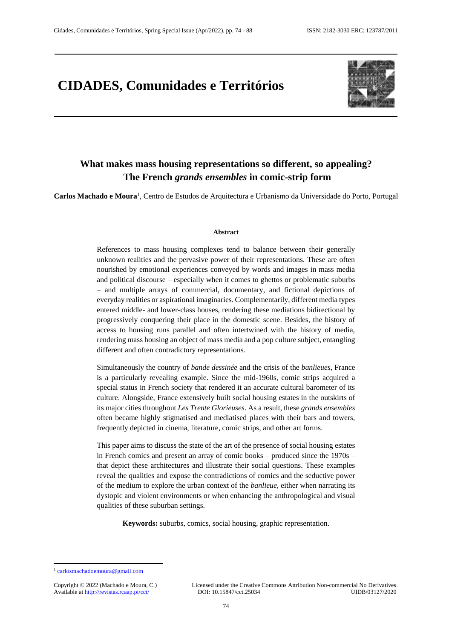# **CIDADES, Comunidades e Territórios**



# **What makes mass housing representations so different, so appealing? The French** *grands ensembles* **in comic-strip form**

Carlos Machado e Moura<sup>1</sup>, Centro de Estudos de Arquitectura e Urbanismo da Universidade do Porto, Portugal

#### **Abstract**

References to mass housing complexes tend to balance between their generally unknown realities and the pervasive power of their representations. These are often nourished by emotional experiences conveyed by words and images in mass media and political discourse – especially when it comes to ghettos or problematic suburbs – and multiple arrays of commercial, documentary, and fictional depictions of everyday realities or aspirational imaginaries. Complementarily, different media types entered middle- and lower-class houses, rendering these mediations bidirectional by progressively conquering their place in the domestic scene. Besides, the history of access to housing runs parallel and often intertwined with the history of media, rendering mass housing an object of mass media and a pop culture subject, entangling different and often contradictory representations.

Simultaneously the country of *bande dessinée* and the crisis of the *banlieues*, France is a particularly revealing example. Since the mid-1960s, comic strips acquired a special status in French society that rendered it an accurate cultural barometer of its culture. Alongside, France extensively built social housing estates in the outskirts of its major cities throughout *Les Trente Glorieuses*. As a result, these *grands ensembles* often became highly stigmatised and mediatised places with their bars and towers, frequently depicted in cinema, literature, comic strips, and other art forms.

This paper aims to discuss the state of the art of the presence of social housing estates in French comics and present an array of comic books – produced since the 1970s – that depict these architectures and illustrate their social questions. These examples reveal the qualities and expose the contradictions of comics and the seductive power of the medium to explore the urban context of the *banlieue*, either when narrating its dystopic and violent environments or when enhancing the anthropological and visual qualities of these suburban settings.

**Keywords:** suburbs, comics, social housing, graphic representation.

**.** 

<sup>&</sup>lt;sup>1</sup> [carlosmachadoemoura@gmail.com](mailto:carlosmachadoemoura@gmail.com)

Available at http://revistas.rcaap.pt/cct/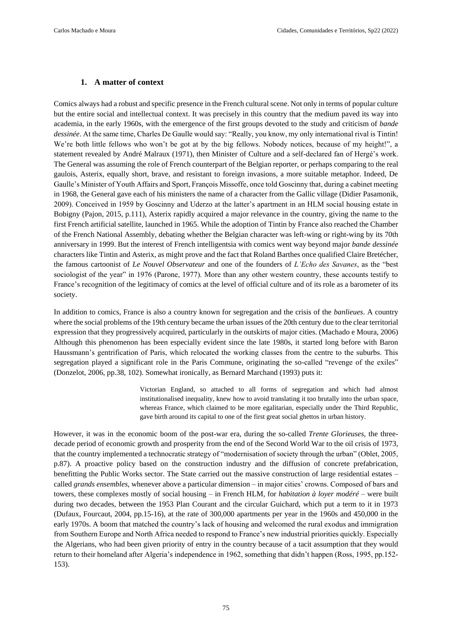#### **1. A matter of context**

Comics always had a robust and specific presence in the French cultural scene. Not only in terms of popular culture but the entire social and intellectual context. It was precisely in this country that the medium paved its way into academia, in the early 1960s, with the emergence of the first groups devoted to the study and criticism of *bande dessinée*. At the same time, Charles De Gaulle would say: "Really, you know, my only international rival is Tintin! We're both little fellows who won't be got at by the big fellows. Nobody notices, because of my height!", a statement revealed by André Malraux (1971), then Minister of Culture and a self-declared fan of Hergé's work. The General was assuming the role of French counterpart of the Belgian reporter, or perhaps comparing to the real gaulois, Asterix, equally short, brave, and resistant to foreign invasions, a more suitable metaphor. Indeed, De Gaulle's Minister of Youth Affairs and Sport, François Missoffe, once told Goscinny that, during a cabinet meeting in 1968, the General gave each of his ministers the name of a character from the Gallic village (Didier Pasamonik, 2009). Conceived in 1959 by Goscinny and Uderzo at the latter's apartment in an HLM social housing estate in Bobigny (Pajon, 2015, p.111), Asterix rapidly acquired a major relevance in the country, giving the name to the first French artificial satellite, launched in 1965. While the adoption of Tintin by France also reached the Chamber of the French National Assembly, debating whether the Belgian character was left-wing or right-wing by its 70th anniversary in 1999. But the interest of French intelligentsia with comics went way beyond major *bande dessinée* characters like Tintin and Asterix, as might prove and the fact that Roland Barthes once qualified Claire Bretécher, the famous cartoonist of *Le Nouvel Observateur* and one of the founders of *L'Echo des Savanes*, as the "best sociologist of the year" in 1976 (Parone, 1977). More than any other western country, these accounts testify to France's recognition of the legitimacy of comics at the level of official culture and of its role as a barometer of its society.

In addition to comics, France is also a country known for segregation and the crisis of the *banlieues*. A country where the social problems of the 19th century became the urban issues of the 20th century due to the clear territorial expression that they progressively acquired, particularly in the outskirts of major cities. (Machado e Moura, 2006) Although this phenomenon has been especially evident since the late 1980s, it started long before with Baron Haussmann's gentrification of Paris, which relocated the working classes from the centre to the suburbs. This segregation played a significant role in the Paris Commune, originating the so-called "revenge of the exiles" (Donzelot, 2006, pp.38, 102). Somewhat ironically, as Bernard Marchand (1993) puts it:

> Victorian England, so attached to all forms of segregation and which had almost institutionalised inequality, knew how to avoid translating it too brutally into the urban space, whereas France, which claimed to be more egalitarian, especially under the Third Republic, gave birth around its capital to one of the first great social ghettos in urban history.

However, it was in the economic boom of the post-war era, during the so-called *Trente Glorieuses*, the threedecade period of economic growth and prosperity from the end of the Second World War to the oil crisis of 1973, that the country implemented a technocratic strategy of "modernisation of society through the urban" (Oblet, 2005, p.87). A proactive policy based on the construction industry and the diffusion of concrete prefabrication, benefitting the Public Works sector. The State carried out the massive construction of large residential estates – called *grands ensembles*, whenever above a particular dimension – in major cities' crowns. Composed of bars and towers, these complexes mostly of social housing – in French HLM, for *habitation à loyer modéré* – were built during two decades, between the 1953 Plan Courant and the circular Guichard, which put a term to it in 1973 (Dufaux, Fourcaut, 2004, pp.15-16), at the rate of 300,000 apartments per year in the 1960s and 450,000 in the early 1970s. A boom that matched the country's lack of housing and welcomed the rural exodus and immigration from Southern Europe and North Africa needed to respond to France's new industrial priorities quickly. Especially the Algerians, who had been given priority of entry in the country because of a tacit assumption that they would return to their homeland after Algeria's independence in 1962, something that didn't happen (Ross, 1995, pp.152- 153).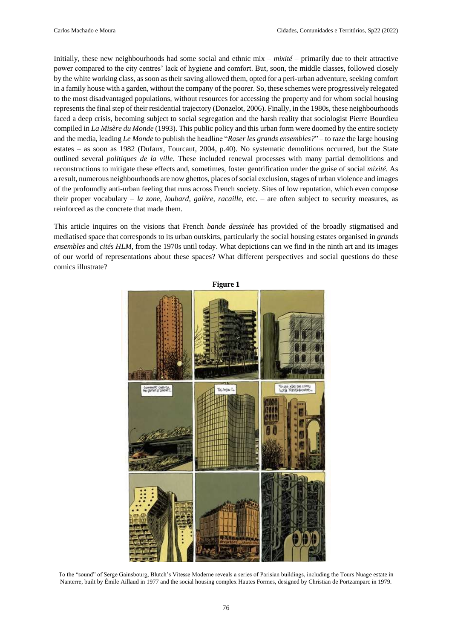Initially, these new neighbourhoods had some social and ethnic mix – *mixité* – primarily due to their attractive power compared to the city centres' lack of hygiene and comfort. But, soon, the middle classes, followed closely by the white working class, as soon as their saving allowed them, opted for a peri-urban adventure, seeking comfort in a family house with a garden, without the company of the poorer. So, these schemes were progressively relegated to the most disadvantaged populations, without resources for accessing the property and for whom social housing represents the final step of their residential trajectory (Donzelot, 2006). Finally, in the 1980s, these neighbourhoods faced a deep crisis, becoming subject to social segregation and the harsh reality that sociologist Pierre Bourdieu compiled in *La Misère du Monde* (1993). This public policy and this urban form were doomed by the entire society and the media, leading *Le Monde* to publish the headline "*Raser les grands ensembles?*" – to raze the large housing estates – as soon as 1982 (Dufaux, Fourcaut, 2004, p.40). No systematic demolitions occurred, but the State outlined several *politiques de la ville*. These included renewal processes with many partial demolitions and reconstructions to mitigate these effects and, sometimes, foster gentrification under the guise of social *mixité*. As a result, numerous neighbourhoods are now ghettos, places of social exclusion, stages of urban violence and images of the profoundly anti-urban feeling that runs across French society. Sites of low reputation, which even compose their proper vocabulary – *la zone, loubard, galère, racaille*, etc. – are often subject to security measures, as reinforced as the concrete that made them.

This article inquires on the visions that French *bande dessinée* has provided of the broadly stigmatised and mediatised space that corresponds to its urban outskirts, particularly the social housing estates organised in *grands ensembles* and *cités HLM*, from the 1970s until today. What depictions can we find in the ninth art and its images of our world of representations about these spaces? What different perspectives and social questions do these comics illustrate?



To the "sound" of Serge Gainsbourg, Blutch's Vitesse Moderne reveals a series of Parisian buildings, including the Tours Nuage estate in Nanterre, built by Émile Aillaud in 1977 and the social housing complex Hautes Formes, designed by Christian de Portzamparc in 1979.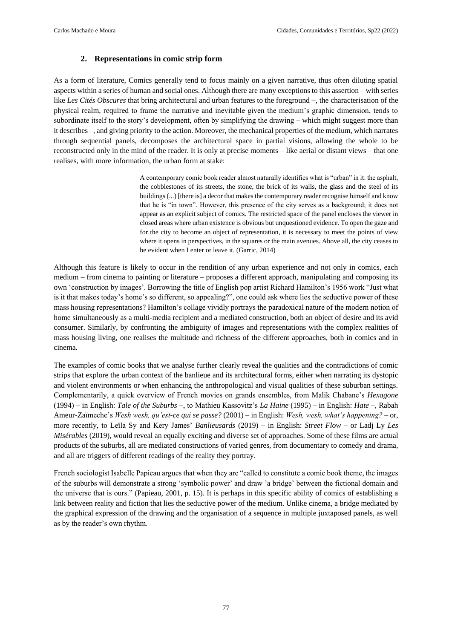## **2. Representations in comic strip form**

As a form of literature, Comics generally tend to focus mainly on a given narrative, thus often diluting spatial aspects within a series of human and social ones. Although there are many exceptions to this assertion – with series like *Les Cités Obscures* that bring architectural and urban features to the foreground –, the characterisation of the physical realm, required to frame the narrative and inevitable given the medium's graphic dimension, tends to subordinate itself to the story's development, often by simplifying the drawing – which might suggest more than it describes –, and giving priority to the action. Moreover, the mechanical properties of the medium, which narrates through sequential panels, decomposes the architectural space in partial visions, allowing the whole to be reconstructed only in the mind of the reader. It is only at precise moments – like aerial or distant views – that one realises, with more information, the urban form at stake:

> A contemporary comic book reader almost naturally identifies what is "urban" in it: the asphalt, the cobblestones of its streets, the stone, the brick of its walls, the glass and the steel of its buildings (...) [there is] a decor that makes the contemporary reader recognise himself and know that he is "in town". However, this presence of the city serves as a background; it does not appear as an explicit subject of comics. The restricted space of the panel encloses the viewer in closed areas where urban existence is obvious but unquestioned evidence. To open the gaze and for the city to become an object of representation, it is necessary to meet the points of view where it opens in perspectives, in the squares or the main avenues. Above all, the city ceases to be evident when I enter or leave it. (Garric, 2014)

Although this feature is likely to occur in the rendition of any urban experience and not only in comics, each medium – from cinema to painting or literature – proposes a different approach, manipulating and composing its own 'construction by images'. Borrowing the title of English pop artist Richard Hamilton's 1956 work "Just what is it that makes today's home's so different, so appealing?", one could ask where lies the seductive power of these mass housing representations? Hamilton's collage vividly portrays the paradoxical nature of the modern notion of home simultaneously as a multi-media recipient and a mediated construction, both an object of desire and its avid consumer. Similarly, by confronting the ambiguity of images and representations with the complex realities of mass housing living, one realises the multitude and richness of the different approaches, both in comics and in cinema.

The examples of comic books that we analyse further clearly reveal the qualities and the contradictions of comic strips that explore the urban context of the banlieue and its architectural forms, either when narrating its dystopic and violent environments or when enhancing the anthropological and visual qualities of these suburban settings. Complementarily, a quick overview of French movies on grands ensembles, from Malik Chabane's *Hexagone* (1994) – in English: *Tale of the Suburbs* –, to Mathieu Kassovitz's *La Haine* (1995) – in English: *Hate* –, Rabah Ameur-Zaïmeche's *Wesh wesh, qu'est-ce qui se passe?* (2001) – in English: *Wesh, wesh, what's happening?* – or, more recently, to Leïla Sy and Kery James' *Banlieusards* (2019) – in English: *Street Flow* – or Ladj Ly *Les Misérables* (2019), would reveal an equally exciting and diverse set of approaches. Some of these films are actual products of the suburbs, all are mediated constructions of varied genres, from documentary to comedy and drama, and all are triggers of different readings of the reality they portray.

French sociologist Isabelle Papieau argues that when they are "called to constitute a comic book theme, the images of the suburbs will demonstrate a strong 'symbolic power' and draw 'a bridge' between the fictional domain and the universe that is ours." (Papieau, 2001, p. 15). It is perhaps in this specific ability of comics of establishing a link between reality and fiction that lies the seductive power of the medium. Unlike cinema, a bridge mediated by the graphical expression of the drawing and the organisation of a sequence in multiple juxtaposed panels, as well as by the reader's own rhythm.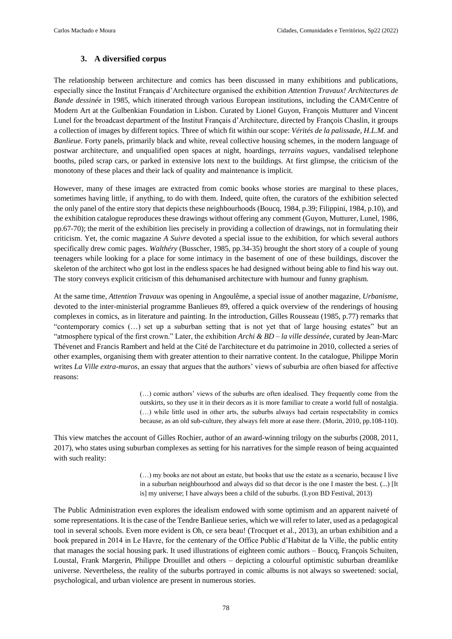### **3. A diversified corpus**

The relationship between architecture and comics has been discussed in many exhibitions and publications, especially since the Institut Français d'Architecture organised the exhibition *Attention Travaux! Architectures de Bande dessinée* in 1985, which itinerated through various European institutions, including the CAM/Centre of Modern Art at the Gulbenkian Foundation in Lisbon. Curated by Lionel Guyon, François Mutturer and Vincent Lunel for the broadcast department of the Institut Français d'Architecture, directed by François Chaslin, it groups a collection of images by different topics. Three of which fit within our scope: *Vérités de la palissade*, *H.L.M.* and *Banlieue*. Forty panels, primarily black and white, reveal collective housing schemes, in the modern language of postwar architecture, and unqualified open spaces at night, hoardings, *terrains vagues*, vandalised telephone booths, piled scrap cars, or parked in extensive lots next to the buildings. At first glimpse, the criticism of the monotony of these places and their lack of quality and maintenance is implicit.

However, many of these images are extracted from comic books whose stories are marginal to these places, sometimes having little, if anything, to do with them. Indeed, quite often, the curators of the exhibition selected the only panel of the entire story that depicts these neighbourhoods (Boucq, 1984, p.39; Filippini, 1984, p.10), and the exhibition catalogue reproduces these drawings without offering any comment (Guyon, Mutturer, Lunel, 1986, pp.67-70); the merit of the exhibition lies precisely in providing a collection of drawings, not in formulating their criticism. Yet, the comic magazine *A Suivre* devoted a special issue to the exhibition, for which several authors specifically drew comic pages. *Walthéry* (Busscher, 1985, pp.34-35) brought the short story of a couple of young teenagers while looking for a place for some intimacy in the basement of one of these buildings, discover the skeleton of the architect who got lost in the endless spaces he had designed without being able to find his way out. The story conveys explicit criticism of this dehumanised architecture with humour and funny graphism.

At the same time, *Attention Travaux* was opening in Angoulême, a special issue of another magazine, *Urbanisme*, devoted to the inter-ministerial programme Banlieues 89, offered a quick overview of the renderings of housing complexes in comics, as in literature and painting. In the introduction, Gilles Rousseau (1985, p.77) remarks that "contemporary comics (…) set up a suburban setting that is not yet that of large housing estates" but an "atmosphere typical of the first crown." Later, the exhibition *Archi & BD – la ville dessinée*, curated by Jean-Marc Thévenet and Francis Rambert and held at the Cité de l'architecture et du patrimoine in 2010, collected a series of other examples, organising them with greater attention to their narrative content. In the catalogue, Philippe Morin writes *La Ville extra-muros*, an essay that argues that the authors' views of suburbia are often biased for affective reasons:

> (…) comic authors' views of the suburbs are often idealised. They frequently come from the outskirts, so they use it in their decors as it is more familiar to create a world full of nostalgia. (…) while little used in other arts, the suburbs always had certain respectability in comics because, as an old sub-culture, they always felt more at ease there. (Morin, 2010, pp.108-110).

This view matches the account of Gilles Rochier, author of an award-winning trilogy on the suburbs (2008, 2011, 2017), who states using suburban complexes as setting for his narratives for the simple reason of being acquainted with such reality:

> (…) my books are not about an estate, but books that use the estate as a scenario, because I live in a suburban neighbourhood and always did so that decor is the one I master the best. (...) [It is] my universe; I have always been a child of the suburbs. (Lyon BD Festival, 2013)

The Public Administration even explores the idealism endowed with some optimism and an apparent naiveté of some representations. It is the case of the Tendre Banlieue series, which we will refer to later, used as a pedagogical tool in several schools. Even more evident is Oh, ce sera beau! (Trocquet et al., 2013), an urban exhibition and a book prepared in 2014 in Le Havre, for the centenary of the Office Public d'Habitat de la Ville, the public entity that manages the social housing park. It used illustrations of eighteen comic authors – Boucq, François Schuiten, Loustal, Frank Margerin, Philippe Drouillet and others – depicting a colourful optimistic suburban dreamlike universe. Nevertheless, the reality of the suburbs portrayed in comic albums is not always so sweetened: social, psychological, and urban violence are present in numerous stories.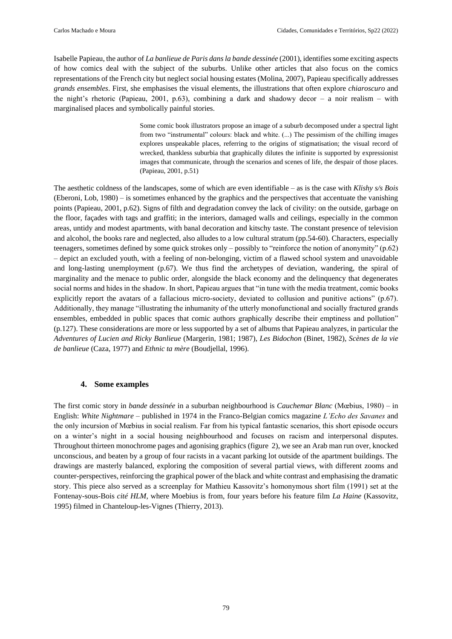Isabelle Papieau, the author of *La banlieue de Paris dans la bande dessinée* (2001), identifies some exciting aspects of how comics deal with the subject of the suburbs. Unlike other articles that also focus on the comics representations of the French city but neglect social housing estates (Molina, 2007), Papieau specifically addresses *grands ensembles*. First, she emphasises the visual elements, the illustrations that often explore *chiaroscuro* and the night's rhetoric (Papieau, 2001, p.63), combining a dark and shadowy decor – a noir realism – with marginalised places and symbolically painful stories.

> Some comic book illustrators propose an image of a suburb decomposed under a spectral light from two "instrumental" colours: black and white. (...) The pessimism of the chilling images explores unspeakable places, referring to the origins of stigmatisation; the visual record of wrecked, thankless suburbia that graphically dilutes the infinite is supported by expressionist images that communicate, through the scenarios and scenes of life, the despair of those places. (Papieau, 2001, p.51)

The aesthetic coldness of the landscapes, some of which are even identifiable – as is the case with *Klishy s/s Bois* (Eberoni, Lob, 1980) – is sometimes enhanced by the graphics and the perspectives that accentuate the vanishing points (Papieau, 2001, p.62). Signs of filth and degradation convey the lack of civility: on the outside, garbage on the floor, façades with tags and graffiti; in the interiors, damaged walls and ceilings, especially in the common areas, untidy and modest apartments, with banal decoration and kitschy taste. The constant presence of television and alcohol, the books rare and neglected, also alludes to a low cultural stratum (pp.54-60). Characters, especially teenagers, sometimes defined by some quick strokes only – possibly to "reinforce the notion of anonymity" (p.62) – depict an excluded youth, with a feeling of non-belonging, victim of a flawed school system and unavoidable and long-lasting unemployment (p.67). We thus find the archetypes of deviation, wandering, the spiral of marginality and the menace to public order, alongside the black economy and the delinquency that degenerates social norms and hides in the shadow. In short, Papieau argues that "in tune with the media treatment, comic books explicitly report the avatars of a fallacious micro-society, deviated to collusion and punitive actions" (p.67). Additionally, they manage "illustrating the inhumanity of the utterly monofunctional and socially fractured grands ensembles, embedded in public spaces that comic authors graphically describe their emptiness and pollution" (p.127). These considerations are more or less supported by a set of albums that Papieau analyzes, in particular the *Adventures of Lucien and Ricky Banlieue* (Margerin, 1981; 1987), *Les Bidochon* (Binet, 1982), *Scènes de la vie de banlieue* (Caza, 1977) and *Ethnic ta mère* (Boudjellal, 1996).

#### **4. Some examples**

The first comic story in *bande dessinée* in a suburban neighbourhood is *Cauchemar Blanc* (Mœbius, 1980) – in English: *White Nightmare* – published in 1974 in the Franco-Belgian comics magazine *L'Echo des Savanes* and the only incursion of Mœbius in social realism. Far from his typical fantastic scenarios, this short episode occurs on a winter's night in a social housing neighbourhood and focuses on racism and interpersonal disputes. Throughout thirteen monochrome pages and agonising graphics (figure 2), we see an Arab man run over, knocked unconscious, and beaten by a group of four racists in a vacant parking lot outside of the apartment buildings. The drawings are masterly balanced, exploring the composition of several partial views, with different zooms and counter-perspectives, reinforcing the graphical power of the black and white contrast and emphasising the dramatic story. This piece also served as a screenplay for Mathieu Kassovitz's homonymous short film (1991) set at the Fontenay-sous-Bois *cité HLM*, where Moebius is from, four years before his feature film *La Haine* (Kassovitz, 1995) filmed in Chanteloup-les-Vignes (Thierry, 2013).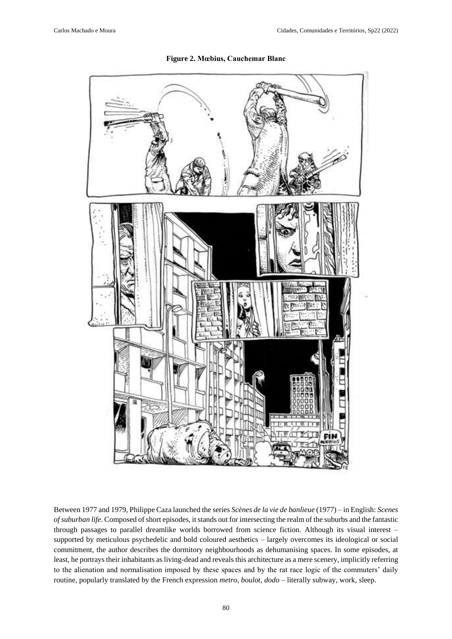

**Figure 2. Mœbius, Cauchemar Blanc**

Between 1977 and 1979, Philippe Caza launched the series *Scènes de la vie de banlieue* (1977) – in English: *Scenes of suburban life*. Composed of short episodes, it stands out for intersecting the realm of the suburbs and the fantastic through passages to parallel dreamlike worlds borrowed from science fiction. Although its visual interest – supported by meticulous psychedelic and bold coloured aesthetics – largely overcomes its ideological or social commitment, the author describes the dormitory neighbourhoods as dehumanising spaces. In some episodes, at least, he portrays their inhabitants as living-dead and reveals this architecture as a mere scenery, implicitly referring to the alienation and normalisation imposed by these spaces and by the rat race logic of the commuters' daily routine, popularly translated by the French expression *metro*, *boulot*, *dodo* – literally subway, work, sleep.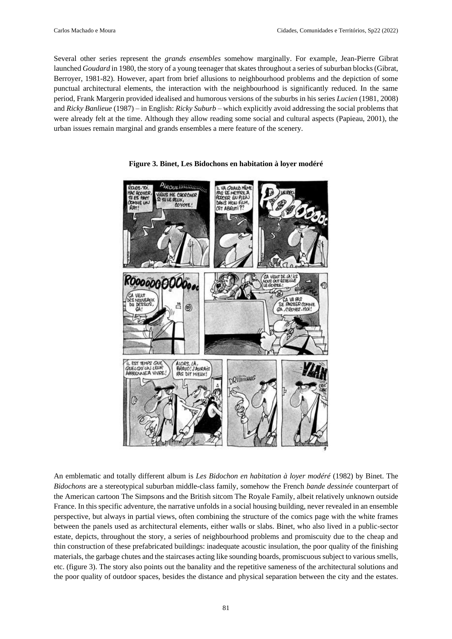Several other series represent the *grands ensembles* somehow marginally. For example, Jean-Pierre Gibrat launched *Goudard* in 1980, the story of a young teenager that skates throughout a series of suburban blocks (Gibrat, Berroyer, 1981-82). However, apart from brief allusions to neighbourhood problems and the depiction of some punctual architectural elements, the interaction with the neighbourhood is significantly reduced. In the same period, Frank Margerin provided idealised and humorous versions of the suburbs in his series *Lucien* (1981, 2008) and *Ricky Banlieue* (1987) – in English: *Ricky Suburb* – which explicitly avoid addressing the social problems that were already felt at the time. Although they allow reading some social and cultural aspects (Papieau, 2001), the urban issues remain marginal and grands ensembles a mere feature of the scenery.



**Figure 3. Binet, Les Bidochons en habitation à loyer modéré**

An emblematic and totally different album is *Les Bidochon en habitation à loyer modéré* (1982) by Binet. The *Bidochons* are a stereotypical suburban middle-class family, somehow the French *bande dessinée* counterpart of the American cartoon The Simpsons and the British sitcom The Royale Family, albeit relatively unknown outside France. In this specific adventure, the narrative unfolds in a social housing building, never revealed in an ensemble perspective, but always in partial views, often combining the structure of the comics page with the white frames between the panels used as architectural elements, either walls or slabs. Binet, who also lived in a public-sector estate, depicts, throughout the story, a series of neighbourhood problems and promiscuity due to the cheap and thin construction of these prefabricated buildings: inadequate acoustic insulation, the poor quality of the finishing materials, the garbage chutes and the staircases acting like sounding boards, promiscuous subject to various smells, etc. (figure 3). The story also points out the banality and the repetitive sameness of the architectural solutions and the poor quality of outdoor spaces, besides the distance and physical separation between the city and the estates.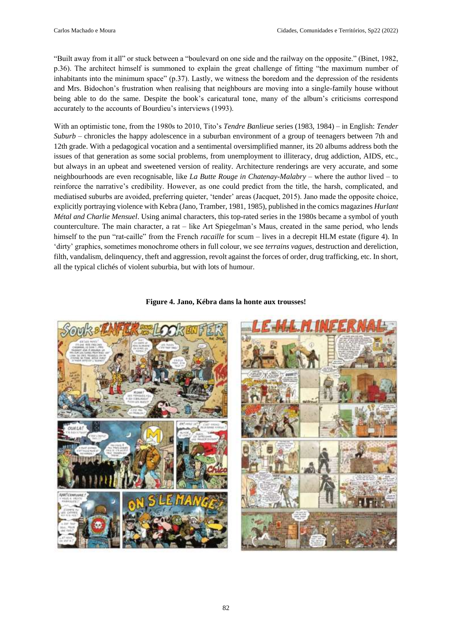"Built away from it all" or stuck between a "boulevard on one side and the railway on the opposite." (Binet, 1982, p.36). The architect himself is summoned to explain the great challenge of fitting "the maximum number of inhabitants into the minimum space" (p.37). Lastly, we witness the boredom and the depression of the residents and Mrs. Bidochon's frustration when realising that neighbours are moving into a single-family house without being able to do the same. Despite the book's caricatural tone, many of the album's criticisms correspond accurately to the accounts of Bourdieu's interviews (1993).

With an optimistic tone, from the 1980s to 2010, Tito's *Tendre Banlieue* series (1983, 1984) – in English: *Tender Suburb* – chronicles the happy adolescence in a suburban environment of a group of teenagers between 7th and 12th grade. With a pedagogical vocation and a sentimental oversimplified manner, its 20 albums address both the issues of that generation as some social problems, from unemployment to illiteracy, drug addiction, AIDS, etc., but always in an upbeat and sweetened version of reality. Architecture renderings are very accurate, and some neighbourhoods are even recognisable, like *La Butte Rouge in Chatenay-Malabry* – where the author lived – to reinforce the narrative's credibility. However, as one could predict from the title, the harsh, complicated, and mediatised suburbs are avoided, preferring quieter, 'tender' areas (Jacquet, 2015). Jano made the opposite choice, explicitly portraying violence with Kebra (Jano, Tramber, 1981, 1985), published in the comics magazines *Hurlant Métal and Charlie Mensuel*. Using animal characters, this top-rated series in the 1980s became a symbol of youth counterculture. The main character, a rat – like Art Spiegelman's Maus, created in the same period, who lends himself to the pun "rat-caille" from the French *racaille* for scum – lives in a decrepit HLM estate (figure 4). In 'dirty' graphics, sometimes monochrome others in full colour, we see *terrains vagues*, destruction and dereliction, filth, vandalism, delinquency, theft and aggression, revolt against the forces of order, drug trafficking, etc. In short, all the typical clichés of violent suburbia, but with lots of humour.

#### **Figure 4. Jano, Kébra dans la honte aux trousses!**



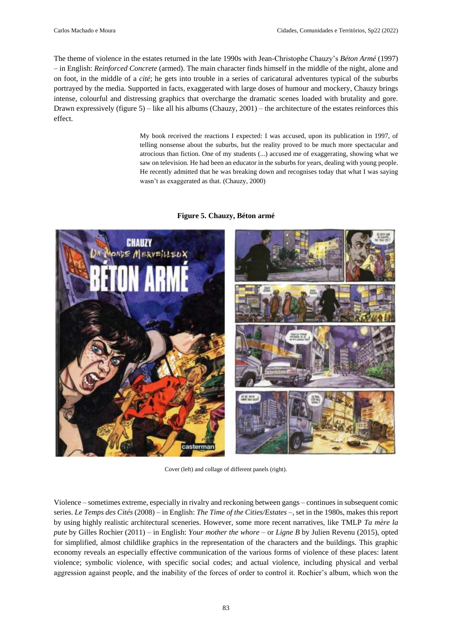The theme of violence in the estates returned in the late 1990s with Jean-Christophe Chauzy's *Béton Armé* (1997) – in English: *Reinforced Concrete* (armed). The main character finds himself in the middle of the night, alone and on foot, in the middle of a *cité*; he gets into trouble in a series of caricatural adventures typical of the suburbs portrayed by the media. Supported in facts, exaggerated with large doses of humour and mockery, Chauzy brings intense, colourful and distressing graphics that overcharge the dramatic scenes loaded with brutality and gore. Drawn expressively (figure 5) – like all his albums (Chauzy,  $2001$ ) – the architecture of the estates reinforces this effect.

> My book received the reactions I expected: I was accused, upon its publication in 1997, of telling nonsense about the suburbs, but the reality proved to be much more spectacular and atrocious than fiction. One of my students (...) accused me of exaggerating, showing what we saw on television. He had been an educator in the suburbs for years, dealing with young people. He recently admitted that he was breaking down and recognises today that what I was saying wasn't as exaggerated as that. (Chauzy, 2000)



**Figure 5. Chauzy, Béton armé**

Cover (left) and collage of different panels (right).

Violence – sometimes extreme, especially in rivalry and reckoning between gangs – continues in subsequent comic series. *Le Temps des Cités* (2008) – in English: *The Time of the Cities/Estates* –, set in the 1980s, makes this report by using highly realistic architectural sceneries. However, some more recent narratives, like TMLP *Ta mère la pute* by Gilles Rochier (2011) – in English: *Your mother the whore* – or *Ligne B* by Julien Revenu (2015), opted for simplified, almost childlike graphics in the representation of the characters and the buildings. This graphic economy reveals an especially effective communication of the various forms of violence of these places: latent violence; symbolic violence, with specific social codes; and actual violence, including physical and verbal aggression against people, and the inability of the forces of order to control it. Rochier's album, which won the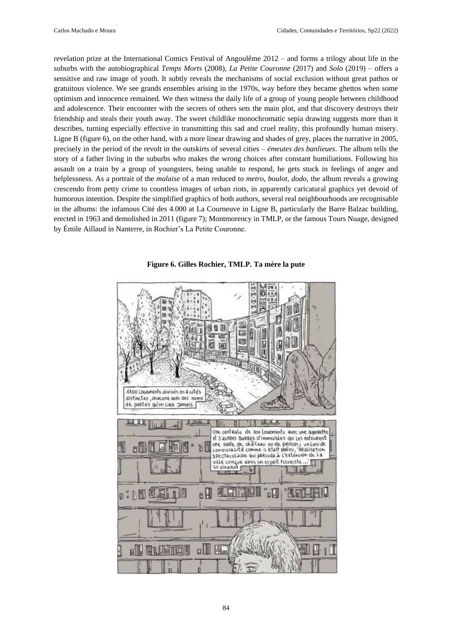revelation prize at the International Comics Festival of Angoulême 2012 – and forms a trilogy about life in the suburbs with the autobiographical *Temps Morts* (2008), *La Petite Couronne* (2017) and *Solo* (2019) – offers a sensitive and raw image of youth. It subtly reveals the mechanisms of social exclusion without great pathos or gratuitous violence. We see grands ensembles arising in the 1970s, way before they became ghettos when some optimism and innocence remained. We then witness the daily life of a group of young people between childhood and adolescence. Their encounter with the secrets of others sets the main plot, and that discovery destroys their friendship and steals their youth away. The sweet childlike monochromatic sepia drawing suggests more than it describes, turning especially effective in transmitting this sad and cruel reality, this profoundly human misery. Ligne B (figure 6), on the other hand, with a more linear drawing and shades of grey, places the narrative in 2005, precisely in the period of the revolt in the outskirts of several cities – *émeutes des banlieues*. The album tells the story of a father living in the suburbs who makes the wrong choices after constant humiliations. Following his assault on a train by a group of youngsters, being unable to respond, he gets stuck in feelings of anger and helplessness. As a portrait of the *malaise* of a man reduced to *metro*, *boulot*, *dodo*, the album reveals a growing crescendo from petty crime to countless images of urban riots, in apparently caricatural graphics yet devoid of humorous intention. Despite the simplified graphics of both authors, several real neighbourhoods are recognisable in the albums: the infamous Cité des 4.000 at La Courneuve in Ligne B, particularly the Barre Balzac building, erected in 1963 and demolished in 2011 (figure 7); Montmorency in TMLP, or the famous Tours Nuage, designed by Émile Aillaud in Nanterre, in Rochier's La Petite Couronne.



**Figure 6. Gilles Rochier, TMLP. Ta mère la pute**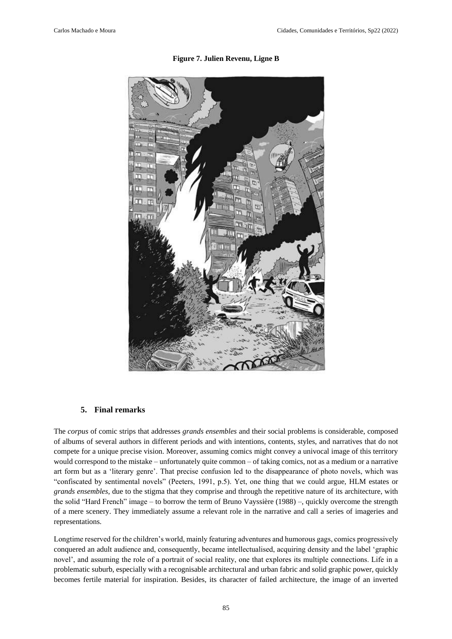

**Figure 7. Julien Revenu, Ligne B**

#### **5. Final remarks**

The *corpus* of comic strips that addresses *grands ensembles* and their social problems is considerable, composed of albums of several authors in different periods and with intentions, contents, styles, and narratives that do not compete for a unique precise vision. Moreover, assuming comics might convey a univocal image of this territory would correspond to the mistake – unfortunately quite common – of taking comics, not as a medium or a narrative art form but as a 'literary genre'. That precise confusion led to the disappearance of photo novels, which was "confiscated by sentimental novels" (Peeters, 1991, p.5). Yet, one thing that we could argue, HLM estates or *grands ensembles*, due to the stigma that they comprise and through the repetitive nature of its architecture, with the solid "Hard French" image – to borrow the term of Bruno Vayssière (1988) –, quickly overcome the strength of a mere scenery. They immediately assume a relevant role in the narrative and call a series of imageries and representations.

Longtime reserved for the children's world, mainly featuring adventures and humorous gags, comics progressively conquered an adult audience and, consequently, became intellectualised, acquiring density and the label 'graphic novel', and assuming the role of a portrait of social reality, one that explores its multiple connections. Life in a problematic suburb, especially with a recognisable architectural and urban fabric and solid graphic power, quickly becomes fertile material for inspiration. Besides, its character of failed architecture, the image of an inverted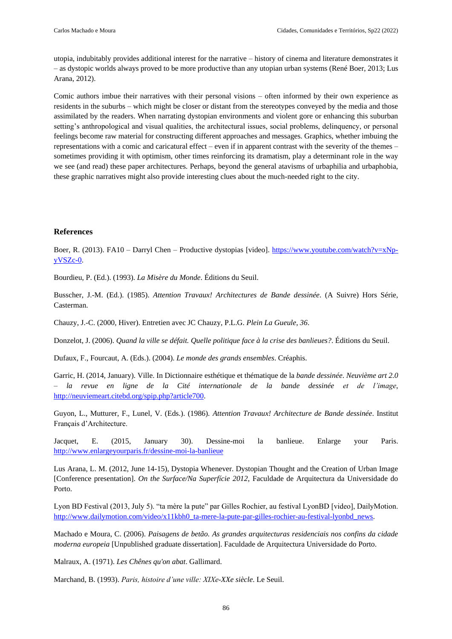utopia, indubitably provides additional interest for the narrative – history of cinema and literature demonstrates it – as dystopic worlds always proved to be more productive than any utopian urban systems (René Boer, 2013; Lus Arana, 2012).

Comic authors imbue their narratives with their personal visions – often informed by their own experience as residents in the suburbs – which might be closer or distant from the stereotypes conveyed by the media and those assimilated by the readers. When narrating dystopian environments and violent gore or enhancing this suburban setting's anthropological and visual qualities, the architectural issues, social problems, delinquency, or personal feelings become raw material for constructing different approaches and messages. Graphics, whether imbuing the representations with a comic and caricatural effect – even if in apparent contrast with the severity of the themes – sometimes providing it with optimism, other times reinforcing its dramatism, play a determinant role in the way we see (and read) these paper architectures. Perhaps, beyond the general atavisms of urbaphilia and urbaphobia, these graphic narratives might also provide interesting clues about the much-needed right to the city.

#### **References**

Boer, R. (2013). FA10 – Darryl Chen – Productive dystopias [video]. [https://www.youtube.com/watch?v=xNp](https://www.youtube.com/watch?v=xNp-yVSZc-0)[yVSZc-0.](https://www.youtube.com/watch?v=xNp-yVSZc-0)

Bourdieu, P. (Ed.). (1993). *La Misère du Monde*. Éditions du Seuil.

Busscher, J.-M. (Ed.). (1985). *Attention Travaux! Architectures de Bande dessinée*. (A Suivre) Hors Série, Casterman.

Chauzy, J.-C. (2000, Hiver). Entretien avec JC Chauzy, P.L.G. *Plein La Gueule*, *36*.

Donzelot, J. (2006). *Quand la ville se défait. Quelle politique face à la crise des banlieues?*. Éditions du Seuil.

Dufaux, F., Fourcaut, A. (Eds.). (2004). *Le monde des grands ensembles*. Créaphis.

Garric, H. (2014, January). Ville. In Dictionnaire esthétique et thématique de la *bande dessinée*. *Neuvième art 2.0 – la revue en ligne de la Cité internationale de la bande dessinée et de l'image*, [http://neuviemeart.citebd.org/spip.php?article700.](http://neuviemeart.citebd.org/spip.php?article700) 

Guyon, L., Mutturer, F., Lunel, V. (Eds.). (1986). *Attention Travaux! Architecture de Bande dessinée*. Institut Français d'Architecture.

Jacquet, E. (2015, January 30). Dessine-moi la banlieue. Enlarge your Paris. <http://www.enlargeyourparis.fr/dessine-moi-la-banlieue>

Lus Arana, L. M. (2012, June 14-15), Dystopia Whenever. Dystopian Thought and the Creation of Urban Image [Conference presentation]. *On the Surface/Na Superfície 2012*, Faculdade de Arquitectura da Universidade do Porto.

Lyon BD Festival (2013, July 5). "ta mère la pute" par Gilles Rochier, au festival LyonBD [video], DailyMotion. [http://www.dailymotion.com/video/x11kbh0\\_ta-mere-la-pute-par-gilles-rochier-au-festival-lyonbd\\_news.](http://www.dailymotion.com/video/x11kbh0_ta-mere-la-pute-par-gilles-rochier-au-festival-lyonbd_news) 

Machado e Moura, C. (2006). *Paisagens de betão. As grandes arquitecturas residenciais nos confins da cidade moderna europeia* [Unpublished graduate dissertation]. Faculdade de Arquitectura Universidade do Porto.

Malraux, A. (1971). *Les Chênes qu'on abat*. Gallimard.

Marchand, B. (1993). *Paris, histoire d'une ville: XIXe-XXe siècle*. Le Seuil.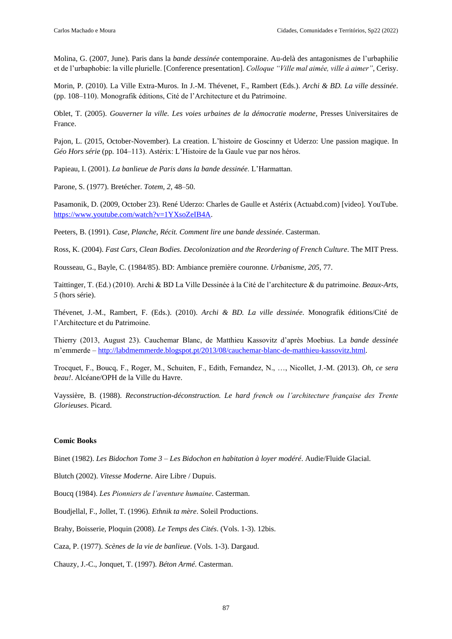Molina, G. (2007, June). Paris dans la *bande dessinée* contemporaine. Au-delà des antagonismes de l'urbaphilie et de l'urbaphobie: la ville plurielle. [Conference presentation]. *Colloque "Ville mal aimée, ville à aimer"*, Cerisy.

Morin, P. (2010). La Ville Extra-Muros. In J.-M. Thévenet, F., Rambert (Eds.). *Archi & BD. La ville dessinée*. (pp. 108–110). Monografik éditions, Cité de l'Architecture et du Patrimoine.

Oblet, T. (2005). *Gouverner la ville. Les voies urbaines de la démocratie moderne*, Presses Universitaires de France.

Pajon, L. (2015, October-November). La creation. L'histoire de Goscinny et Uderzo: Une passion magique. In *Géo Hors série* (pp. 104–113). Astérix: L'Histoire de la Gaule vue par nos héros.

Papieau, I. (2001). *La banlieue de Paris dans la bande dessinée*. L'Harmattan.

Parone, S. (1977). Bretécher. *Totem, 2*, 48–50.

Pasamonik, D. (2009, October 23). René Uderzo: Charles de Gaulle et Astérix (Actuabd.com) [video]. YouTube. [https://www.youtube.com/watch?v=1YXsoZeIB4A.](https://www.youtube.com/watch?v=1YXsoZeIB4A)

Peeters, B. (1991). *Case, Planche, Récit. Comment lire une bande dessinée*. Casterman.

Ross, K. (2004). *Fast Cars, Clean Bodies. Decolonization and the Reordering of French Culture*. The MIT Press.

Rousseau, G., Bayle, C. (1984/85). BD: Ambiance première couronne. *Urbanisme, 205*, 77.

Taittinger, T. (Ed.) (2010). Archi & BD La Ville Dessinée à la Cité de l'architecture & du patrimoine. *Beaux-Arts, 5* (hors série).

Thévenet, J.-M., Rambert, F. (Eds.). (2010). *Archi & BD. La ville dessinée*. Monografik éditions/Cité de l'Architecture et du Patrimoine.

Thierry (2013, August 23). Cauchemar Blanc, de Matthieu Kassovitz d'après Moebius. La *bande dessinée* m'emmerde – [http://labdmemmerde.blogspot.pt/2013/08/cauchemar-blanc-de-matthieu-kassovitz.html.](http://labdmemmerde.blogspot.pt/2013/08/cauchemar-blanc-de-matthieu-kassovitz.html)

Trocquet, F., Boucq, F., Roger, M., Schuiten, F., Edith, Fernandez, N., …, Nicollet, J.-M. (2013). *Oh, ce sera beau!*. Alcéane/OPH de la Ville du Havre.

Vayssière, B. (1988). *Reconstruction-déconstruction. Le hard french ou l'architecture française des Trente Glorieuses*. Picard.

#### **Comic Books**

Binet (1982). *Les Bidochon Tome 3 – Les Bidochon en habitation à loyer modéré*. Audie/Fluide Glacial.

Blutch (2002). *Vitesse Moderne*. Aire Libre / Dupuis.

Boucq (1984). *Les Pionniers de l'aventure humaine*. Casterman.

Boudjellal, F., Jollet, T. (1996). *Ethnik ta mère*. Soleil Productions.

Brahy, Boisserie, Ploquin (2008). *Le Temps des Cités*. (Vols. 1-3). 12bis.

Caza, P. (1977). *Scènes de la vie de banlieue*. (Vols. 1-3). Dargaud.

Chauzy, J.-C., Jonquet, T. (1997). *Béton Armé*. Casterman.